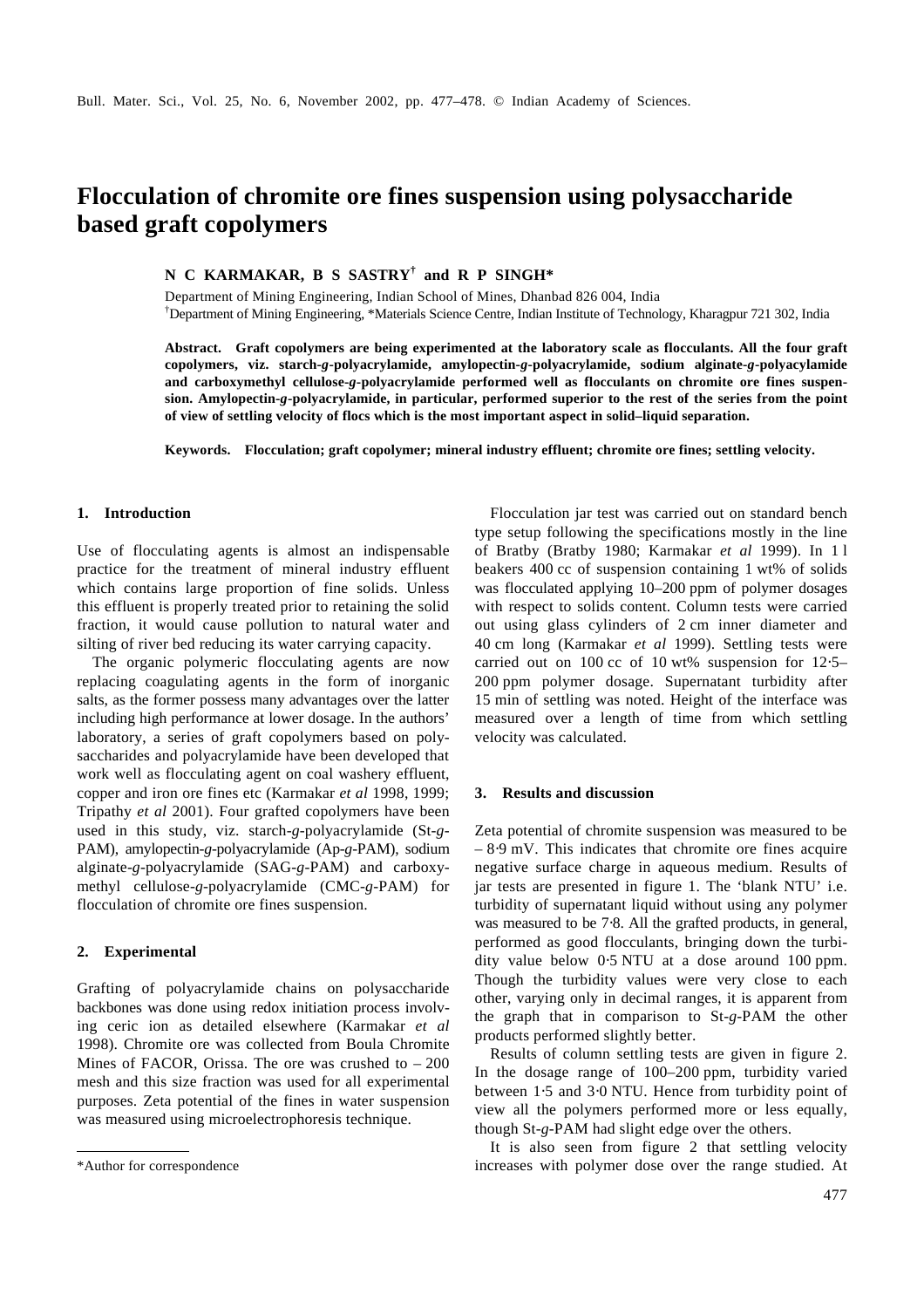# **Flocculation of chromite ore fines suspension using polysaccharide based graft copolymers**

**N C KARMAKAR, B S SASTRY† and R P SINGH\***

Department of Mining Engineering, Indian School of Mines, Dhanbad 826 004, India †Department of Mining Engineering, \*Materials Science Centre, Indian Institute of Technology, Kharagpur 721 302, India

**Abstract. Graft copolymers are being experimented at the laboratory scale as flocculants. All the four graft copolymers, viz. starch-***g***-polyacrylamide, amylopectin-***g***-polyacrylamide, sodium alginate-***g***-polyacylamide and carboxymethyl cellulose-***g***-polyacrylamide performed well as flocculants on chromite ore fines suspension. Amylopectin-***g***-polyacrylamide, in particular, performed superior to the rest of the series from the point of view of settling velocity of flocs which is the most important aspect in solid–liquid separation.**

**Keywords. Flocculation; graft copolymer; mineral industry effluent; chromite ore fines; settling velocity.**

#### **1. Introduction**

Use of flocculating agents is almost an indispensable practice for the treatment of mineral industry effluent which contains large proportion of fine solids. Unless this effluent is properly treated prior to retaining the solid fraction, it would cause pollution to natural water and silting of river bed reducing its water carrying capacity.

The organic polymeric flocculating agents are now replacing coagulating agents in the form of inorganic salts, as the former possess many advantages over the latter including high performance at lower dosage. In the authors' laboratory, a series of graft copolymers based on polysaccharides and polyacrylamide have been developed that work well as flocculating agent on coal washery effluent, copper and iron ore fines etc (Karmakar *et al* 1998, 1999; Tripathy *et al* 2001). Four grafted copolymers have been used in this study, viz. starch-*g*-polyacrylamide (St-*g*-PAM), amylopectin-*g*-polyacrylamide (Ap-*g*-PAM), sodium alginate-*g*-polyacrylamide (SAG-*g*-PAM) and carboxymethyl cellulose-*g*-polyacrylamide (CMC-*g*-PAM) for flocculation of chromite ore fines suspension.

## **2. Experimental**

Grafting of polyacrylamide chains on polysaccharide backbones was done using redox initiation process involving ceric ion as detailed elsewhere (Karmakar *et al* 1998). Chromite ore was collected from Boula Chromite Mines of FACOR, Orissa. The ore was crushed to  $-200$ mesh and this size fraction was used for all experimental purposes. Zeta potential of the fines in water suspension was measured using microelectrophoresis technique.

Flocculation jar test was carried out on standard bench type setup following the specifications mostly in the line of Bratby (Bratby 1980; Karmakar *et al* 1999). In 1 l beakers 400 cc of suspension containing 1 wt% of solids was flocculated applying 10–200 ppm of polymer dosages with respect to solids content. Column tests were carried out using glass cylinders of 2 cm inner diameter and 40 cm long (Karmakar *et al* 1999). Settling tests were carried out on 100 cc of 10 wt% suspension for 12⋅5– 200 ppm polymer dosage. Supernatant turbidity after 15 min of settling was noted. Height of the interface was measured over a length of time from which settling velocity was calculated.

#### **3. Results and discussion**

Zeta potential of chromite suspension was measured to be – 8⋅9 mV. This indicates that chromite ore fines acquire negative surface charge in aqueous medium. Results of jar tests are presented in figure 1. The 'blank NTU' i.e. turbidity of supernatant liquid without using any polymer was measured to be 7⋅8. All the grafted products, in general, performed as good flocculants, bringing down the turbidity value below 0⋅5 NTU at a dose around 100 ppm. Though the turbidity values were very close to each other, varying only in decimal ranges, it is apparent from the graph that in comparison to St-*g*-PAM the other products performed slightly better.

Results of column settling tests are given in figure 2. In the dosage range of 100–200 ppm, turbidity varied between 1⋅5 and 3⋅0 NTU. Hence from turbidity point of view all the polymers performed more or less equally, though St-*g*-PAM had slight edge over the others.

It is also seen from figure 2 that settling velocity \*Author for correspondence increases with polymer dose over the range studied. At